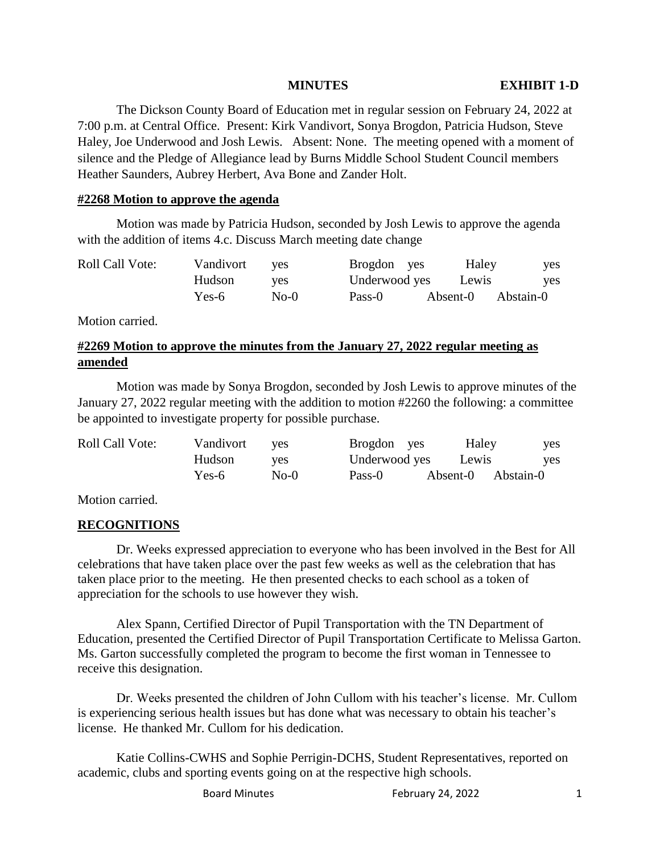The Dickson County Board of Education met in regular session on February 24, 2022 at 7:00 p.m. at Central Office. Present: Kirk Vandivort, Sonya Brogdon, Patricia Hudson, Steve Haley, Joe Underwood and Josh Lewis. Absent: None. The meeting opened with a moment of silence and the Pledge of Allegiance lead by Burns Middle School Student Council members Heather Saunders, Aubrey Herbert, Ava Bone and Zander Holt.

## **#2268 Motion to approve the agenda**

Motion was made by Patricia Hudson, seconded by Josh Lewis to approve the agenda with the addition of items 4.c. Discuss March meeting date change

| <b>Roll Call Vote:</b> | Vandivort | <b>ves</b> | Brogdon yes   | Haley    | yes       |
|------------------------|-----------|------------|---------------|----------|-----------|
|                        | Hudson    | ves        | Underwood yes | Lewis    | ves       |
|                        | Yes-6     | $No-0$     | Pass-0        | Absent-0 | Abstain-0 |

Motion carried.

# **#2269 Motion to approve the minutes from the January 27, 2022 regular meeting as amended**

Motion was made by Sonya Brogdon, seconded by Josh Lewis to approve minutes of the January 27, 2022 regular meeting with the addition to motion #2260 the following: a committee be appointed to investigate property for possible purchase.

| <b>Roll Call Vote:</b> | Vandivort | <b>ves</b> | Brogdon yes   | Haley    | yes        |
|------------------------|-----------|------------|---------------|----------|------------|
|                        | Hudson    | <b>ves</b> | Underwood yes | Lewis    | <b>ves</b> |
|                        | Yes-6     | $No-0$     | Pass-0        | Absent-0 | Abstain-0  |

Motion carried.

## **RECOGNITIONS**

Dr. Weeks expressed appreciation to everyone who has been involved in the Best for All celebrations that have taken place over the past few weeks as well as the celebration that has taken place prior to the meeting. He then presented checks to each school as a token of appreciation for the schools to use however they wish.

Alex Spann, Certified Director of Pupil Transportation with the TN Department of Education, presented the Certified Director of Pupil Transportation Certificate to Melissa Garton. Ms. Garton successfully completed the program to become the first woman in Tennessee to receive this designation.

Dr. Weeks presented the children of John Cullom with his teacher's license. Mr. Cullom is experiencing serious health issues but has done what was necessary to obtain his teacher's license. He thanked Mr. Cullom for his dedication.

Katie Collins-CWHS and Sophie Perrigin-DCHS, Student Representatives, reported on academic, clubs and sporting events going on at the respective high schools.

Board Minutes **February 24, 2022** 1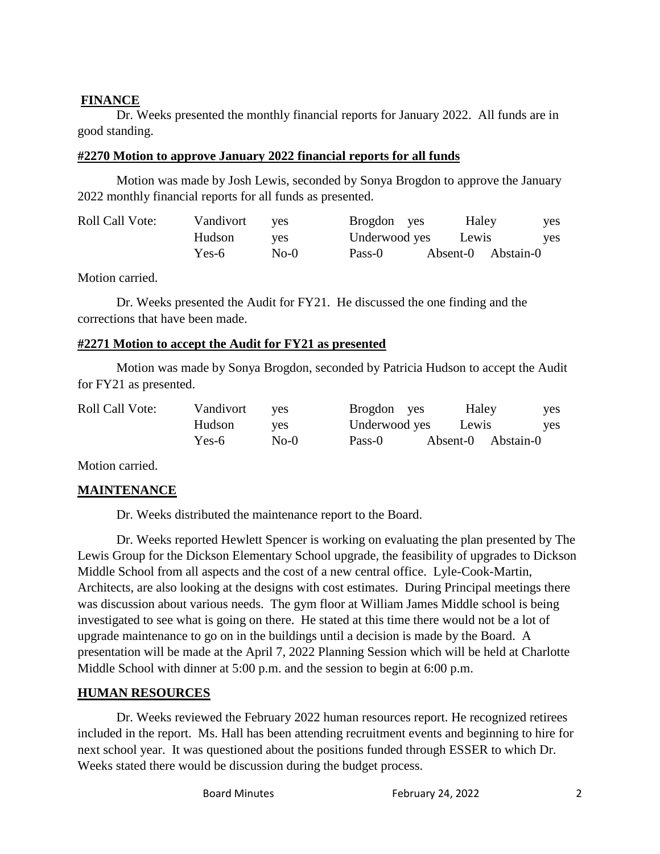## **FINANCE**

Dr. Weeks presented the monthly financial reports for January 2022. All funds are in good standing.

## **#2270 Motion to approve January 2022 financial reports for all funds**

Motion was made by Josh Lewis, seconded by Sonya Brogdon to approve the January 2022 monthly financial reports for all funds as presented.

| <b>Roll Call Vote:</b> | Vandivort | <b>ves</b> | Brogdon yes   | Haley              | yes        |
|------------------------|-----------|------------|---------------|--------------------|------------|
|                        | Hudson    | ves        | Underwood yes | Lewis              | <b>ves</b> |
|                        | Yes-6     | $No-0$     | Pass-0        | Absent-0 Abstain-0 |            |

Motion carried.

Dr. Weeks presented the Audit for FY21. He discussed the one finding and the corrections that have been made.

## **#2271 Motion to accept the Audit for FY21 as presented**

Motion was made by Sonya Brogdon, seconded by Patricia Hudson to accept the Audit for FY21 as presented.

| <b>Roll Call Vote:</b> | Vandivort | <b>ves</b> | Brogdon yes   | Haley | yes                |  |
|------------------------|-----------|------------|---------------|-------|--------------------|--|
|                        | Hudson    | <b>ves</b> | Underwood yes | Lewis | <b>ves</b>         |  |
|                        | Yes-6     | $No-0$     | Pass-0        |       | Absent-0 Abstain-0 |  |

Motion carried.

# **MAINTENANCE**

Dr. Weeks distributed the maintenance report to the Board.

Dr. Weeks reported Hewlett Spencer is working on evaluating the plan presented by The Lewis Group for the Dickson Elementary School upgrade, the feasibility of upgrades to Dickson Middle School from all aspects and the cost of a new central office. Lyle-Cook-Martin, Architects, are also looking at the designs with cost estimates. During Principal meetings there was discussion about various needs. The gym floor at William James Middle school is being investigated to see what is going on there. He stated at this time there would not be a lot of upgrade maintenance to go on in the buildings until a decision is made by the Board. A presentation will be made at the April 7, 2022 Planning Session which will be held at Charlotte Middle School with dinner at 5:00 p.m. and the session to begin at 6:00 p.m.

# **HUMAN RESOURCES**

Dr. Weeks reviewed the February 2022 human resources report. He recognized retirees included in the report. Ms. Hall has been attending recruitment events and beginning to hire for next school year. It was questioned about the positions funded through ESSER to which Dr. Weeks stated there would be discussion during the budget process.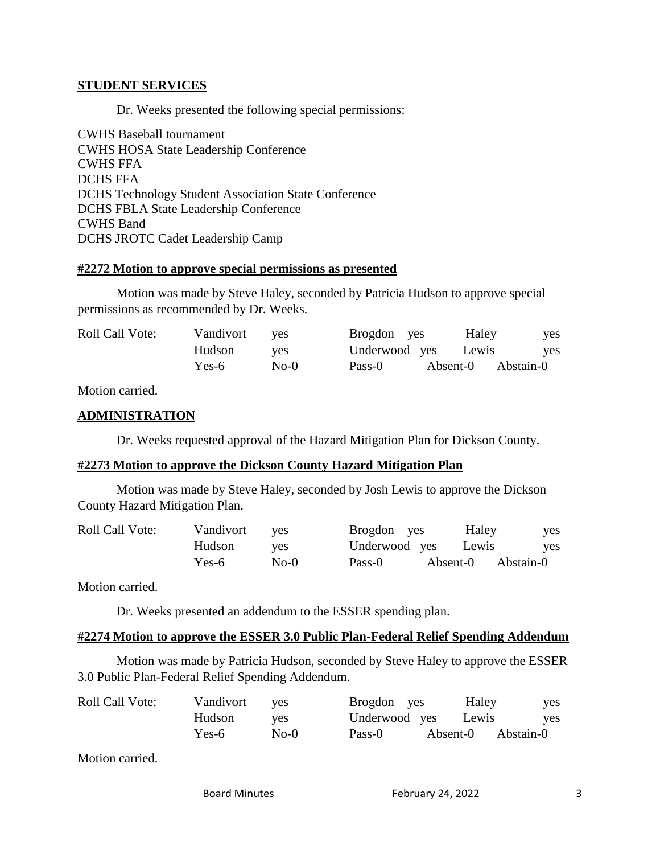#### **STUDENT SERVICES**

Dr. Weeks presented the following special permissions:

CWHS Baseball tournament CWHS HOSA State Leadership Conference CWHS FFA DCHS FFA DCHS Technology Student Association State Conference DCHS FBLA State Leadership Conference CWHS Band DCHS JROTC Cadet Leadership Camp

#### **#2272 Motion to approve special permissions as presented**

Motion was made by Steve Haley, seconded by Patricia Hudson to approve special permissions as recommended by Dr. Weeks.

| <b>Roll Call Vote:</b> | Vandivort | <b>ves</b> | Brogdon yes   | Haley              | yes |
|------------------------|-----------|------------|---------------|--------------------|-----|
|                        | Hudson    | ves        | Underwood yes | Lewis              | yes |
|                        | Yes-6     | $No-0$     | Pass-0        | Absent-0 Abstain-0 |     |

Motion carried.

## **ADMINISTRATION**

Dr. Weeks requested approval of the Hazard Mitigation Plan for Dickson County.

### **#2273 Motion to approve the Dickson County Hazard Mitigation Plan**

Motion was made by Steve Haley, seconded by Josh Lewis to approve the Dickson County Hazard Mitigation Plan.

| <b>Roll Call Vote:</b> | Vandivort | <b>ves</b> | Brogdon yes         | Haley              | yes        |
|------------------------|-----------|------------|---------------------|--------------------|------------|
|                        | Hudson    | ves        | Underwood yes Lewis |                    | <b>ves</b> |
|                        | Yes-6     | $No-0$     | Pass-0              | Absent-0 Abstain-0 |            |

Motion carried.

Dr. Weeks presented an addendum to the ESSER spending plan.

## **#2274 Motion to approve the ESSER 3.0 Public Plan-Federal Relief Spending Addendum**

Motion was made by Patricia Hudson, seconded by Steve Haley to approve the ESSER 3.0 Public Plan-Federal Relief Spending Addendum.

| <b>Roll Call Vote:</b> | Vandivort | <b>ves</b> | Brogdon yes         |          | Haley | yes       |
|------------------------|-----------|------------|---------------------|----------|-------|-----------|
|                        | Hudson    | ves        | Underwood yes Lewis |          |       | yes       |
|                        | Yes-6     | $No-0$     | Pass-0              | Absent-0 |       | Abstain-0 |

Motion carried.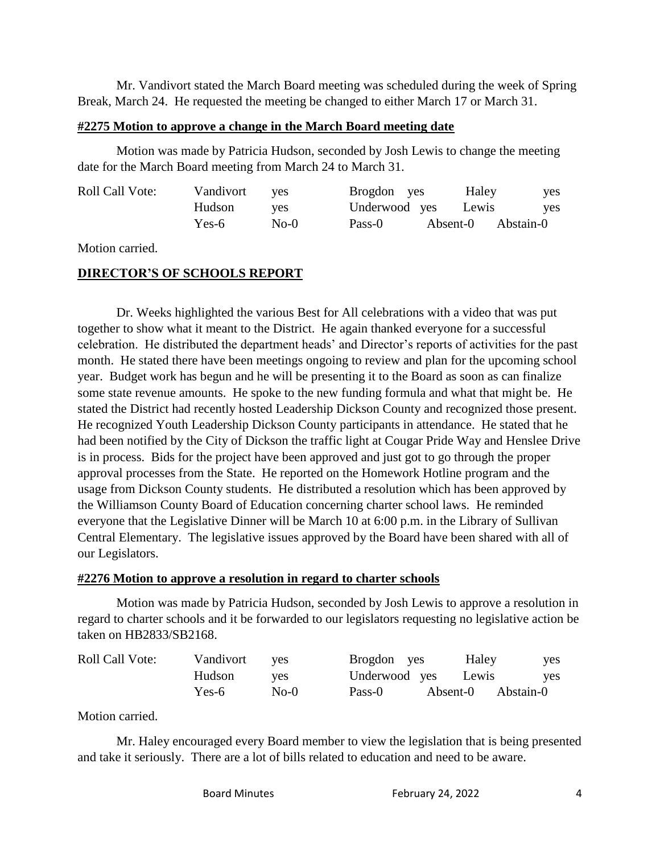Mr. Vandivort stated the March Board meeting was scheduled during the week of Spring Break, March 24. He requested the meeting be changed to either March 17 or March 31.

### **#2275 Motion to approve a change in the March Board meeting date**

Motion was made by Patricia Hudson, seconded by Josh Lewis to change the meeting date for the March Board meeting from March 24 to March 31.

| <b>Roll Call Vote:</b> | Vandivort | ves    | Brogdon yes | Haley               | yes |
|------------------------|-----------|--------|-------------|---------------------|-----|
|                        | Hudson    | ves    |             | Underwood yes Lewis | yes |
|                        | Yes-6     | $No-0$ | Pass-0      | Absent-0 Abstain-0  |     |

Motion carried.

## **DIRECTOR'S OF SCHOOLS REPORT**

Dr. Weeks highlighted the various Best for All celebrations with a video that was put together to show what it meant to the District. He again thanked everyone for a successful celebration. He distributed the department heads' and Director's reports of activities for the past month. He stated there have been meetings ongoing to review and plan for the upcoming school year. Budget work has begun and he will be presenting it to the Board as soon as can finalize some state revenue amounts. He spoke to the new funding formula and what that might be. He stated the District had recently hosted Leadership Dickson County and recognized those present. He recognized Youth Leadership Dickson County participants in attendance. He stated that he had been notified by the City of Dickson the traffic light at Cougar Pride Way and Henslee Drive is in process. Bids for the project have been approved and just got to go through the proper approval processes from the State. He reported on the Homework Hotline program and the usage from Dickson County students. He distributed a resolution which has been approved by the Williamson County Board of Education concerning charter school laws. He reminded everyone that the Legislative Dinner will be March 10 at 6:00 p.m. in the Library of Sullivan Central Elementary. The legislative issues approved by the Board have been shared with all of our Legislators.

### **#2276 Motion to approve a resolution in regard to charter schools**

Motion was made by Patricia Hudson, seconded by Josh Lewis to approve a resolution in regard to charter schools and it be forwarded to our legislators requesting no legislative action be taken on HB2833/SB2168.

| <b>Roll Call Vote:</b> | Vandivort | <b>ves</b> | Brogdon yes   |          | Haley | <b>ves</b> |
|------------------------|-----------|------------|---------------|----------|-------|------------|
|                        | Hudson    | <b>ves</b> | Underwood yes |          | Lewis | <b>ves</b> |
|                        | Yes-6     | $No-0$     | Pass-0        | Absent-0 |       | Abstain-0  |

Motion carried.

Mr. Haley encouraged every Board member to view the legislation that is being presented and take it seriously. There are a lot of bills related to education and need to be aware.